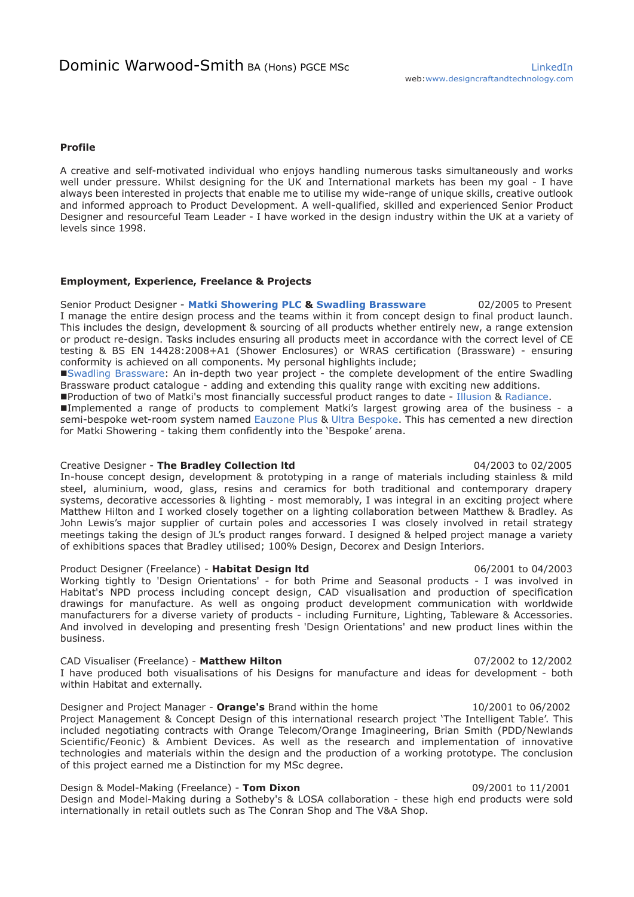# **Profile**

A creative and self-motivated individual who enjoys handling numerous tasks simultaneously and works well under pressure. Whilst designing for the UK and International markets has been my goal - I have always been interested in projects that enable me to utilise my wide-range of unique skills, creative outlook and informed approach to Product Development. A well-qualified, skilled and experienced Senior Product Designer and resourceful Team Leader - I have worked in the design industry within the UK at a variety of levels since 1998.

## **Employment, Experience, Freelance & Projects**

Senior Product Designer - **[Matki Showering PLC](https://www.matki.co.uk/discover-matki/) [& Swadling Brassware](https://www.swadlingbrassware.co.uk/)** 02/2005 to Present I manage the entire design process and the teams within it from concept design to final product launch. This includes the design, development & sourcing of all products whether entirely new, a range extension or product re-design. Tasks includes ensuring all products meet in accordance with the correct level of CE testing & BS EN 14428:2008+A1 (Shower Enclosures) or WRAS certification (Brassware) - ensuring conformity is achieved on all components. My personal highlights include;

[Swadling Brassware:](https://www.swadlingbrassware.co.uk/) An in-depth two year project - the complete development of the entire Swadling Brassware product catalogue - adding and extending this quality range with exciting new additions.

Production of two of Matki's most financially successful product ranges to date - [Illusion](https://www.matki.co.uk/collections/illusion/) & [Radiance.](https://www.matki.co.uk/collections/radiance/) 

Implemented a range of products to complement Matki's largest growing area of the business - a semi-bespoke wet-room system named [Eauzone Plus](https://www.matki.co.uk/collections/eauzone-plus/) & [Ultra Bespoke.](https://www.matki.co.uk/bespoke/about/) This has cemented a new direction for Matki Showering - taking them confidently into the 'Bespoke' arena.

# Creative Designer - **The Bradley Collection ltd** 04/2003 to 02/2005

In-house concept design, development & prototyping in a range of materials including stainless & mild steel, aluminium, wood, glass, resins and ceramics for both traditional and contemporary drapery systems, decorative accessories & lighting - most memorably, I was integral in an exciting project where Matthew Hilton and I worked closely together on a lighting collaboration between Matthew & Bradley. As John Lewis's major supplier of curtain poles and accessories I was closely involved in retail strategy meetings taking the design of JL's product ranges forward. I designed & helped project manage a variety of exhibitions spaces that Bradley utilised; 100% Design, Decorex and Design Interiors.

### Product Designer (Freelance) - **Habitat Design ltd** 06/2001 to 04/2003

Working tightly to 'Design Orientations' - for both Prime and Seasonal products - I was involved in Habitat's NPD process including concept design, CAD visualisation and production of specification drawings for manufacture. As well as ongoing product development communication with worldwide manufacturers for a diverse variety of products - including Furniture, Lighting, Tableware & Accessories. And involved in developing and presenting fresh 'Design Orientations' and new product lines within the business.

## CAD Visualiser (Freelance) - **Matthew Hilton** 07/2002 to 12/2002

I have produced both visualisations of his Designs for manufacture and ideas for development - both within Habitat and externally.

Designer and Project Manager - **Orange's** Brand within the home 10/2001 to 06/2002 Project Management & Concept Design of this international research project 'The Intelligent Table'. This included negotiating contracts with Orange Telecom/Orange Imagineering, Brian Smith (PDD/Newlands Scientific/Feonic) & Ambient Devices. As well as the research and implementation of innovative technologies and materials within the design and the production of a working prototype. The conclusion of this project earned me a Distinction for my MSc degree.

# Design & Model-Making (Freelance) - **Tom Dixon** 09/2001 to 11/2001

Design and Model-Making during a Sotheby's & LOSA collaboration - these high end products were sold internationally in retail outlets such as The Conran Shop and The V&A Shop.